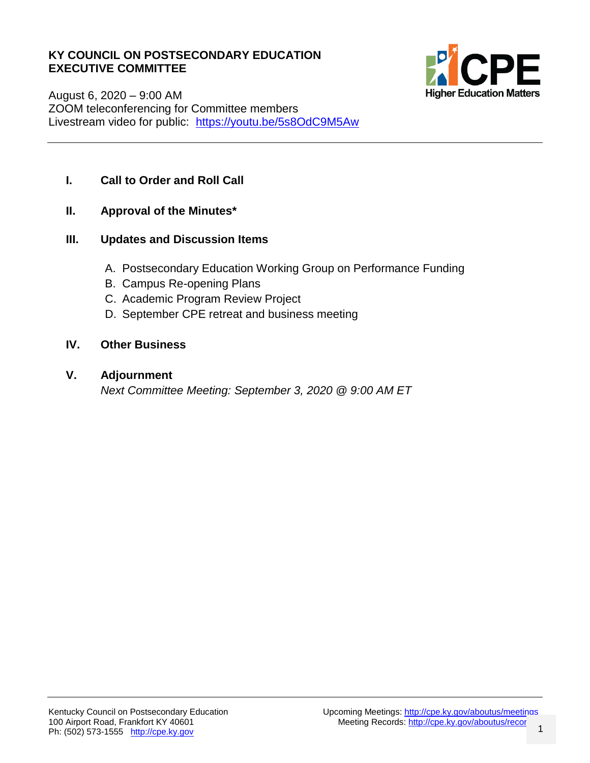#### **KY COUNCIL ON POSTSECONDARY EDUCATION EXECUTIVE COMMITTEE**



August 6, 2020 – 9:00 AM ZOOM teleconferencing for Committee members Livestream video for public: <https://youtu.be/5s8OdC9M5Aw>

#### **I. Call to Order and Roll Call**

**II. Approval of the Minutes\***

#### **III. Updates and Discussion Items**

- A. Postsecondary Education Working Group on Performance Funding
- B. Campus Re-opening Plans
- C. Academic Program Review Project
- D. September CPE retreat and business meeting

#### **IV. Other Business**

#### **V. Adjournment**

*Next Committee Meeting: September 3, 2020 @ 9:00 AM ET*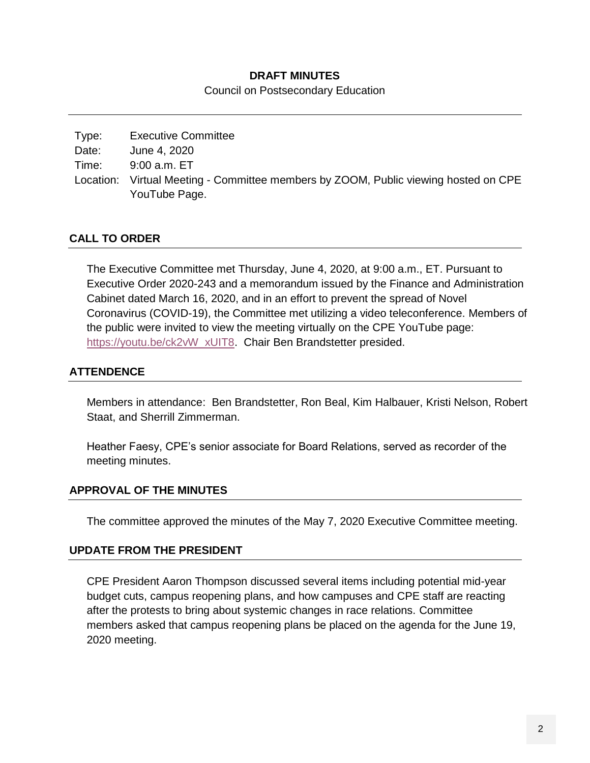#### **DRAFT MINUTES**

Council on Postsecondary Education

| Type: | <b>Executive Committee</b>                                                          |
|-------|-------------------------------------------------------------------------------------|
| Date: | June 4, 2020                                                                        |
| Time: | 9:00 a.m. ET                                                                        |
|       | Location: Virtual Meeting - Committee members by ZOOM, Public viewing hosted on CPE |
|       | YouTube Page.                                                                       |

#### **CALL TO ORDER**

The Executive Committee met Thursday, June 4, 2020, at 9:00 a.m., ET. Pursuant to Executive Order 2020-243 and a memorandum issued by the Finance and Administration Cabinet dated March 16, 2020, and in an effort to prevent the spread of Novel Coronavirus (COVID-19), the Committee met utilizing a video teleconference. Members of the public were invited to view the meeting virtually on the CPE YouTube page: [https://youtu.be/ck2vW\\_xUIT8.](https://youtu.be/ck2vW_xUIT8) Chair Ben Brandstetter presided.

#### **ATTENDENCE**

Members in attendance: Ben Brandstetter, Ron Beal, Kim Halbauer, Kristi Nelson, Robert Staat, and Sherrill Zimmerman.

Heather Faesy, CPE's senior associate for Board Relations, served as recorder of the meeting minutes.

#### **APPROVAL OF THE MINUTES**

The committee approved the minutes of the May 7, 2020 Executive Committee meeting.

#### **UPDATE FROM THE PRESIDENT**

CPE President Aaron Thompson discussed several items including potential mid-year budget cuts, campus reopening plans, and how campuses and CPE staff are reacting after the protests to bring about systemic changes in race relations. Committee members asked that campus reopening plans be placed on the agenda for the June 19, 2020 meeting.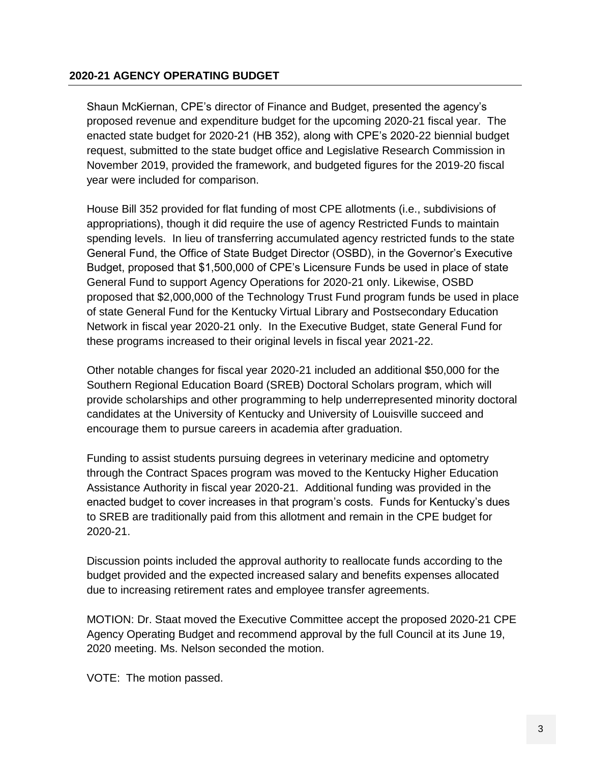#### **2020-21 AGENCY OPERATING BUDGET**

Shaun McKiernan, CPE's director of Finance and Budget, presented the agency's proposed revenue and expenditure budget for the upcoming 2020-21 fiscal year. The enacted state budget for 2020-21 (HB 352), along with CPE's 2020-22 biennial budget request, submitted to the state budget office and Legislative Research Commission in November 2019, provided the framework, and budgeted figures for the 2019-20 fiscal year were included for comparison.

House Bill 352 provided for flat funding of most CPE allotments (i.e., subdivisions of appropriations), though it did require the use of agency Restricted Funds to maintain spending levels. In lieu of transferring accumulated agency restricted funds to the state General Fund, the Office of State Budget Director (OSBD), in the Governor's Executive Budget, proposed that \$1,500,000 of CPE's Licensure Funds be used in place of state General Fund to support Agency Operations for 2020-21 only. Likewise, OSBD proposed that \$2,000,000 of the Technology Trust Fund program funds be used in place of state General Fund for the Kentucky Virtual Library and Postsecondary Education Network in fiscal year 2020-21 only. In the Executive Budget, state General Fund for these programs increased to their original levels in fiscal year 2021-22.

Other notable changes for fiscal year 2020-21 included an additional \$50,000 for the Southern Regional Education Board (SREB) Doctoral Scholars program, which will provide scholarships and other programming to help underrepresented minority doctoral candidates at the University of Kentucky and University of Louisville succeed and encourage them to pursue careers in academia after graduation.

Funding to assist students pursuing degrees in veterinary medicine and optometry through the Contract Spaces program was moved to the Kentucky Higher Education Assistance Authority in fiscal year 2020-21. Additional funding was provided in the enacted budget to cover increases in that program's costs. Funds for Kentucky's dues to SREB are traditionally paid from this allotment and remain in the CPE budget for 2020-21.

Discussion points included the approval authority to reallocate funds according to the budget provided and the expected increased salary and benefits expenses allocated due to increasing retirement rates and employee transfer agreements.

MOTION: Dr. Staat moved the Executive Committee accept the proposed 2020-21 CPE Agency Operating Budget and recommend approval by the full Council at its June 19, 2020 meeting. Ms. Nelson seconded the motion.

VOTE: The motion passed.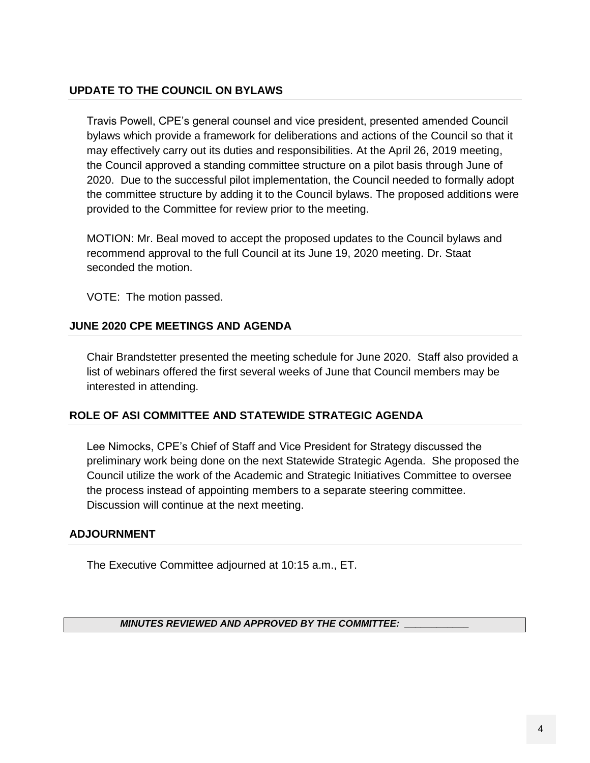#### **UPDATE TO THE COUNCIL ON BYLAWS**

Travis Powell, CPE's general counsel and vice president, presented amended Council bylaws which provide a framework for deliberations and actions of the Council so that it may effectively carry out its duties and responsibilities. At the April 26, 2019 meeting, the Council approved a standing committee structure on a pilot basis through June of 2020. Due to the successful pilot implementation, the Council needed to formally adopt the committee structure by adding it to the Council bylaws. The proposed additions were provided to the Committee for review prior to the meeting.

MOTION: Mr. Beal moved to accept the proposed updates to the Council bylaws and recommend approval to the full Council at its June 19, 2020 meeting. Dr. Staat seconded the motion.

VOTE: The motion passed.

#### **JUNE 2020 CPE MEETINGS AND AGENDA**

Chair Brandstetter presented the meeting schedule for June 2020. Staff also provided a list of webinars offered the first several weeks of June that Council members may be interested in attending.

#### **ROLE OF ASI COMMITTEE AND STATEWIDE STRATEGIC AGENDA**

Lee Nimocks, CPE's Chief of Staff and Vice President for Strategy discussed the preliminary work being done on the next Statewide Strategic Agenda. She proposed the Council utilize the work of the Academic and Strategic Initiatives Committee to oversee the process instead of appointing members to a separate steering committee. Discussion will continue at the next meeting.

#### **ADJOURNMENT**

The Executive Committee adjourned at 10:15 a.m., ET.

*MINUTES REVIEWED AND APPROVED BY THE COMMITTEE: \_\_\_\_\_\_\_\_\_\_\_\_*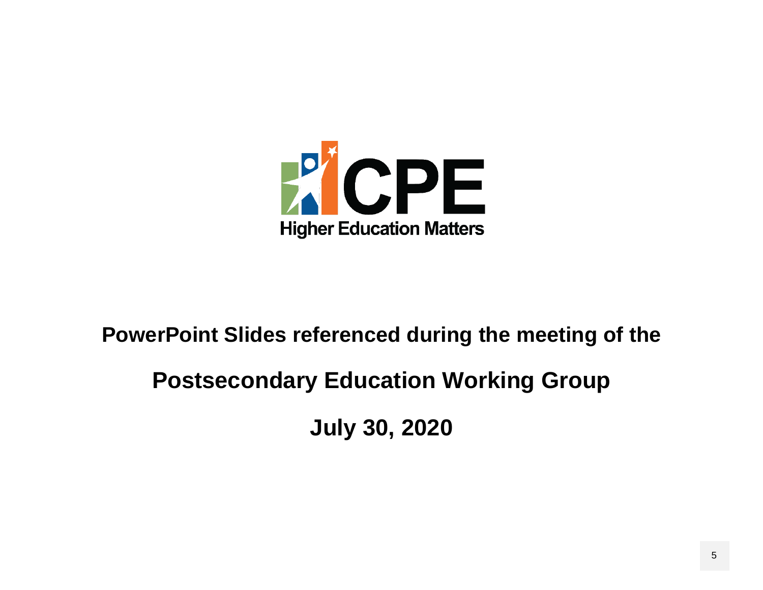

#### **PowerPoint Slides referenced during the meeting of the**

#### **Postsecondary Education Working Group**

**July 30, 2020**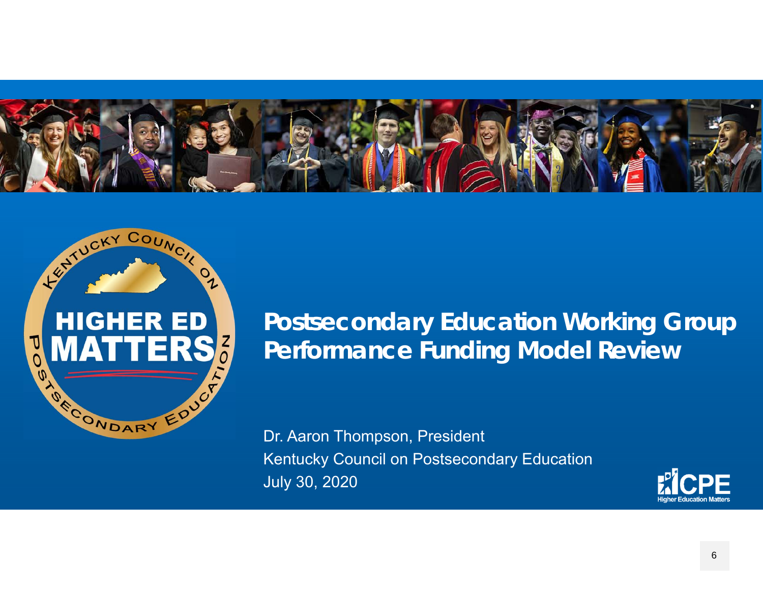



### **Postsecondary Education Working Group Performance Funding Model Review**

Dr. Aaron Thompson, President Kentucky Council on Postsecondary Education July 30, 2020

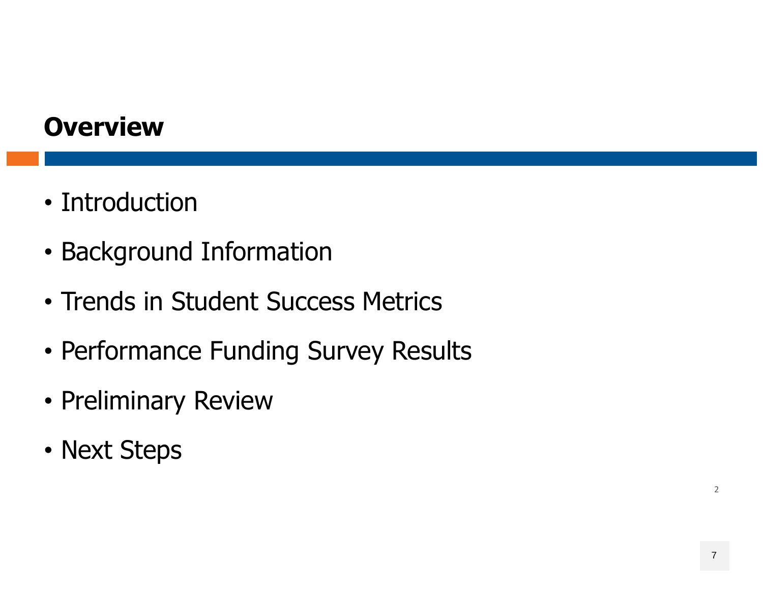### **Overview**

- Introduction
- Background Information
- Trends in Student Success Metrics
- Performance Funding Survey Results
- Preliminary Review
- Next Steps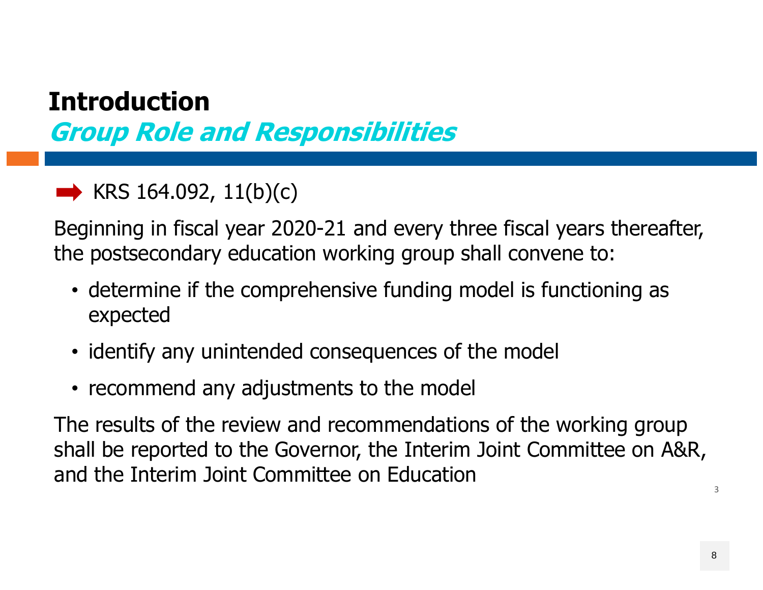# **Introduction**

**Group Role and Responsibilities**

 $\blacktriangleright$  KRS 164.092, 11(b)(c)

Beginning in fiscal year 2020-21 and every three fiscal years thereafter, the postsecondary education working group shall convene to:

- determine if the comprehensive funding model is functioning as expected
- identify any unintended consequences of the model
- recommend any adjustments to the model

The results of the review and recommendations of the working group shall be reported to the Governor, the Interim Joint Committee on A&R, and the Interim Joint Committee on Education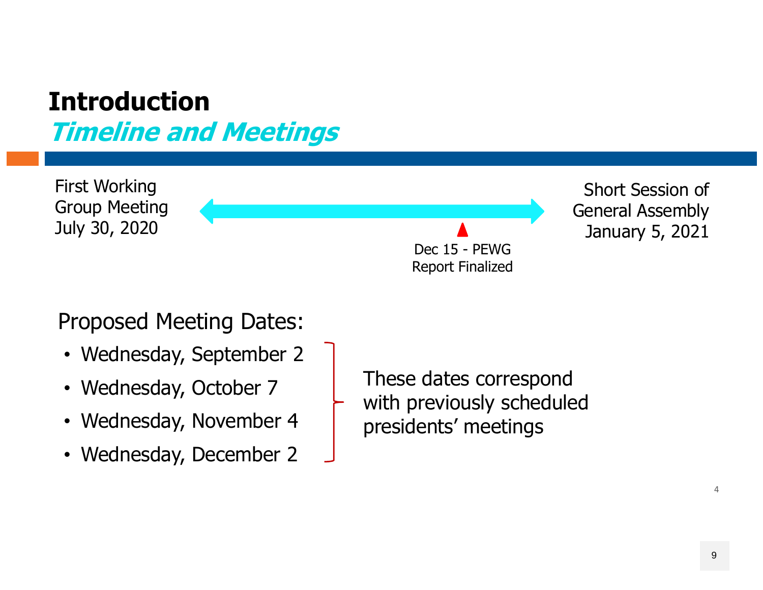#### **IntroductionTimeline and Meetings**

First Working Group Meeting July 30, 2020 Short Session of General Assembly January 5, 2021 Dec 15 - PEWG Report Finalized

Proposed Meeting Dates:

- Wednesday, September 2
- Wednesday, October 7
- Wednesday, November 4
- Wednesday, December 2

These dates correspond with previously scheduled presidents' meetings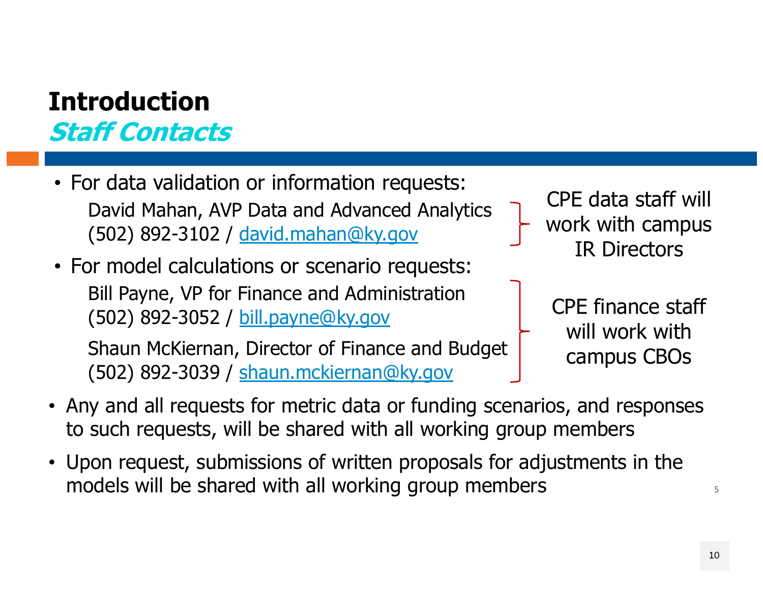### **IntroductionStaff Contacts**

- For data validation or information requests: David Mahan, AVP Data and Advanced Analytics (502) 892-3102 / david.mahan@ky.gov
- For model calculations or scenario requests: Bill Payne, VP for Finance and Administration (502) 892-3052 / bill.payne@ky.gov

Shaun McKiernan, Director of Finance and Budget (502) 892-3039 / shaun.mckiernan@ky.gov

CPE data staff will work with campus IR Directors

> CPE finance staff will work with campus CBOs

- Any and all requests for metric data or funding scenarios, and responses to such requests, will be shared with all working group members
- Upon request, submissions of written proposals for adjustments in the models will be shared with all working group members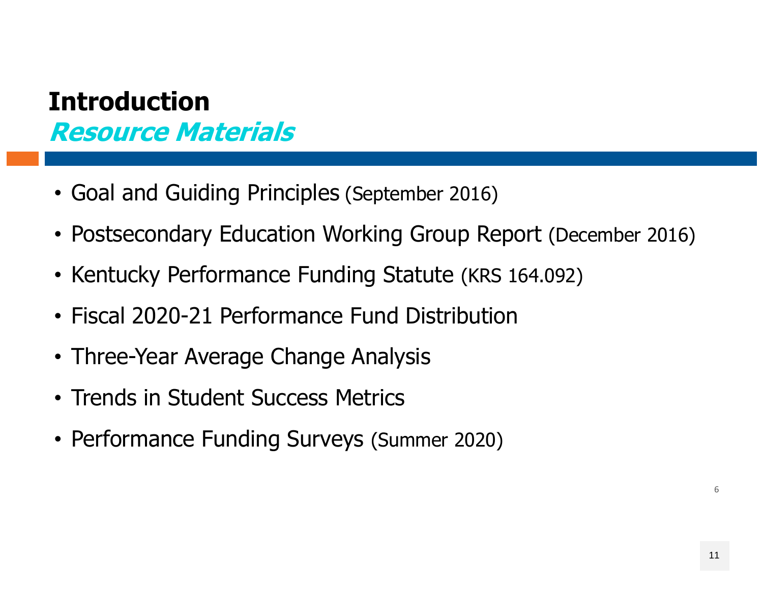### **IntroductionResource Materials**

- Goal and Guiding Principles (September 2016)
- Postsecondary Education Working Group Report (December 2016)
- Kentucky Performance Funding Statute (KRS 164.092)
- Fiscal 2020-21 Performance Fund Distribution
- Three-Year Average Change Analysis
- Trends in Student Success Metrics
- Performance Funding Surveys (Summer 2020)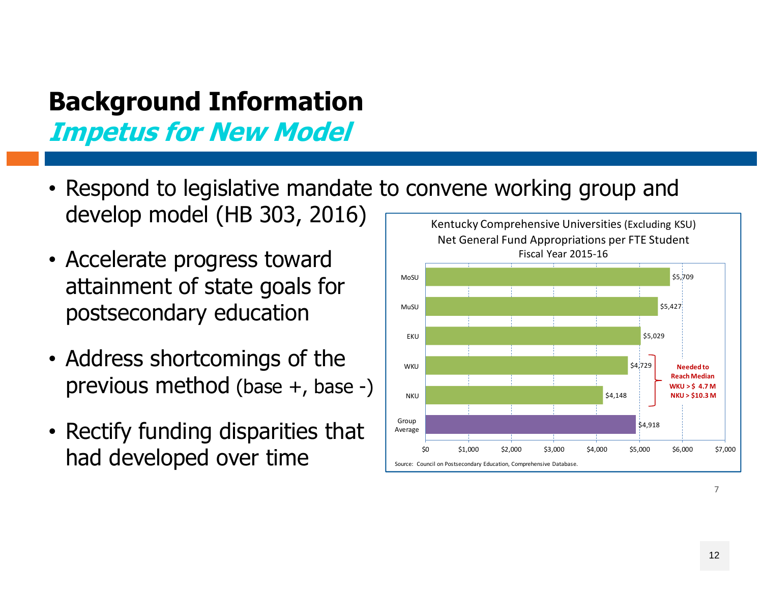### **Background Information Impetus for New Model**

- Respond to legislative mandate to convene working group and develop model (HB 303, 2016)
- Accelerate progress toward attainment of state goals for postsecondary education
- Address shortcomings of the previous method (base +, base -)
- Rectify funding disparities that had developed over time

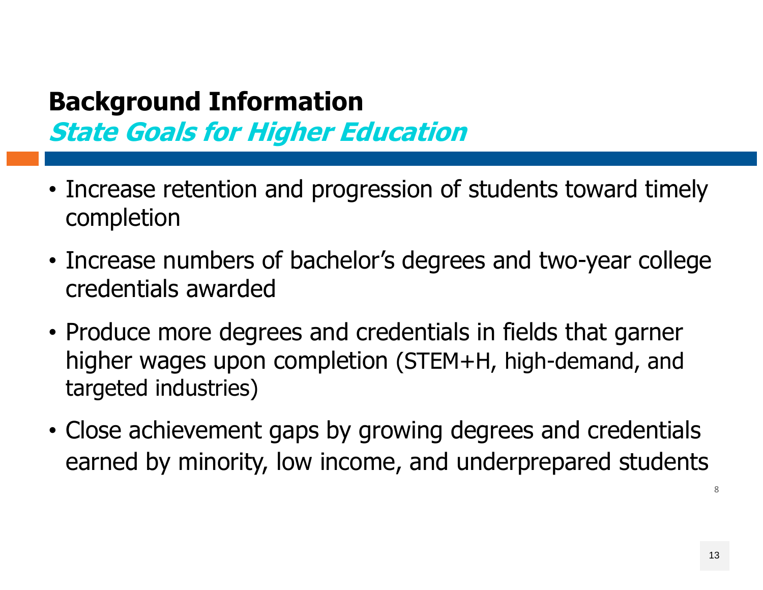### **Background Information State Goals for Higher Education**

- Increase retention and progression of students toward timely completion
- Increase numbers of bachelor's degrees and two-year college credentials awarded
- Produce more degrees and credentials in fields that garner higher wages upon completion (STEM+H, high-demand, and targeted industries)
- Close achievement gaps by growing degrees and credentials earned by minority, low income, and underprepared students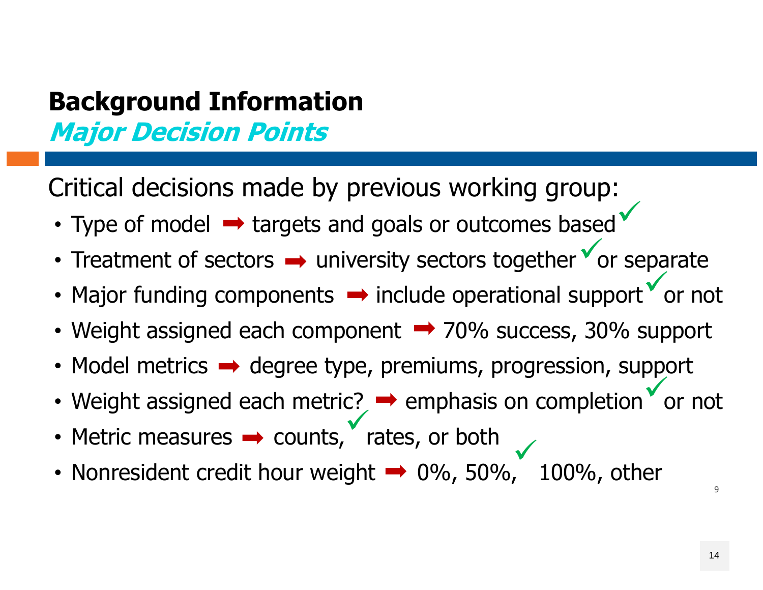### **Background Information Major Decision Points**

Critical decisions made by previous working group:

- Type of model  $\rightarrow$  targets and goals or outcomes based  $\checkmark$
- Treatment of sectors  $\rightarrow$  university sectors together  $\check{ }$  or separate  $\checkmark$
- Major funding components  $\rightarrow$  include operational support  $\check{\phantom{\phi}}$  or not  $\checkmark$
- Weight assigned each component  $\rightarrow$  70% success, 30% support
- Model metrics  $\rightarrow$  degree type, premiums, progression, support
- Weight assigned each metric?  $\rightarrow$  emphasis on completion  $\check{ }$  or not  $\checkmark$
- Metric measures  $\rightarrow$  counts, rates, or both  $\checkmark$
- Nonresident credit hour weight  $\rightarrow$  0%, 50%, 100%, other  $\checkmark$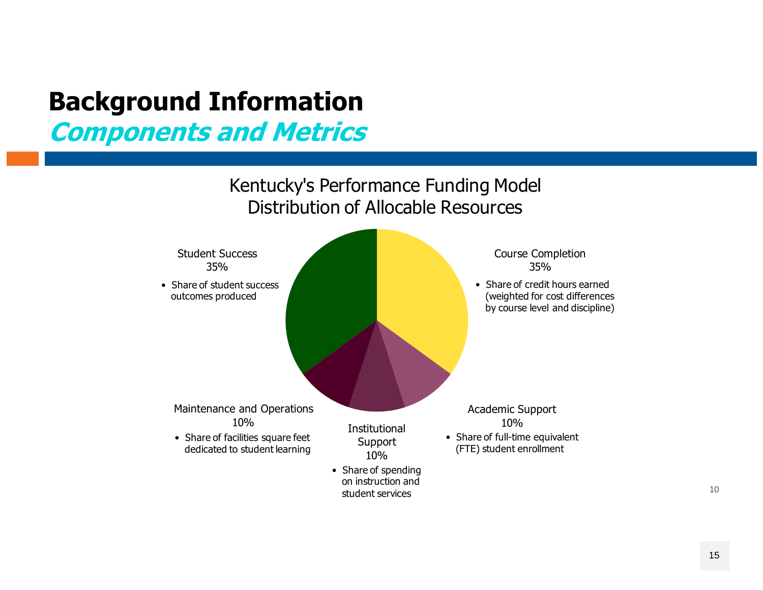# **Background Information**

**Components and Metrics**

Kentucky's Performance Funding Model Distribution of Allocable Resources

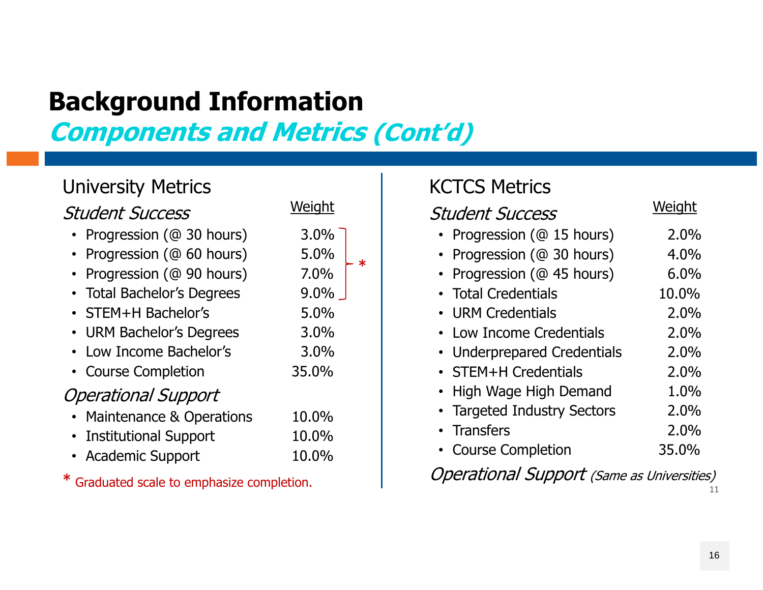## **Background Information**

## **Components and Metrics (Cont'd)**

#### University Metrics

#### Student Success

- Progression (@ 30 hours) 3.0%
- Progression (@ 60 hours) 5.0%
- Progression (@ 90 hours) 7.0%
- Total Bachelor's Degrees 9.0%
- STEM+H Bachelor's 5.0%
- URM Bachelor's Degrees 3.0%
- Low Income Bachelor's 3.0%
- Course Completion 35.0%

#### Operational Support

- Maintenance & Operations 10.0%
- Institutional Support 10.0%
- Academic Support 10.0%

\* Graduated scale to emphasize completion.

|         | <b>KCTCS Metrics</b>        |        |
|---------|-----------------------------|--------|
| Weight  | <b>Student Success</b>      | Weight |
| 3.0%    | • Progression (@ 15 hours)  | 2.0%   |
| 5.0%    | • Progression (@ 30 hours)  | 4.0%   |
| 7.0%    | • Progression (@ 45 hours)  | 6.0%   |
| $9.0\%$ | • Total Credentials         | 10.0%  |
| 5.0%    | • URM Credentials           | 2.0%   |
| 3.0%    | • Low Income Credentials    | 2.0%   |
| 3.0%    | • Underprepared Credentials | 2.0%   |
| 35.0%   | • STEM+H Credentials        | 2.0%   |
|         | • High Wage High Demand     | 1.0%   |
| 10.0%   | • Targeted Industry Sectors | 2.0%   |
| 10.0%   | • Transfers                 | 2.0%   |
| 10 በ%   | • Course Completion         | 35.0%  |

11Operational Support (Same as Universities)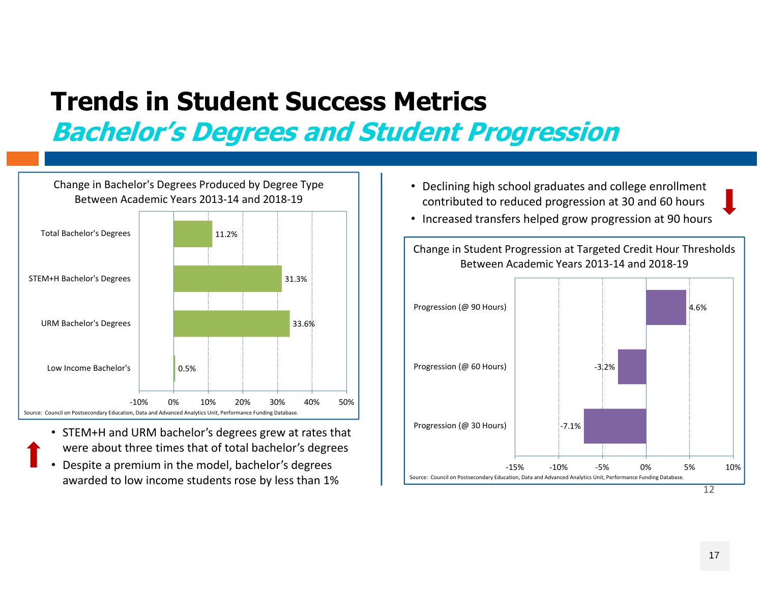### **Trends in Student Success MetricsBachelor's Degrees and Student Progression**

0.5%33.6%31.3%11.2%‐10% 0% 10% 20% 30% 40% 50% Low Income Bachelor'sURM Bachelor's Degrees STEM+H Bachelor's Degrees Total Bachelor's Degrees Change in Bachelor's Degrees Produced by Degree Type Between Academic Years 2013‐14 and 2018‐19Source: Council on Postsecondary Education, Data and Advanced Analytics Unit, Performance Funding Database.

- STEM+H and URM bachelor's degrees grew at rates that were about three times that of total bachelor's degrees
- • Despite a premium in the model, bachelor's degrees awarded to low income students rose by less than 1%
- Declining high school graduates and college enrollment contributed to reduced progression at 30 and 60 hours
- Increased transfers helped grow progression at 90 hours

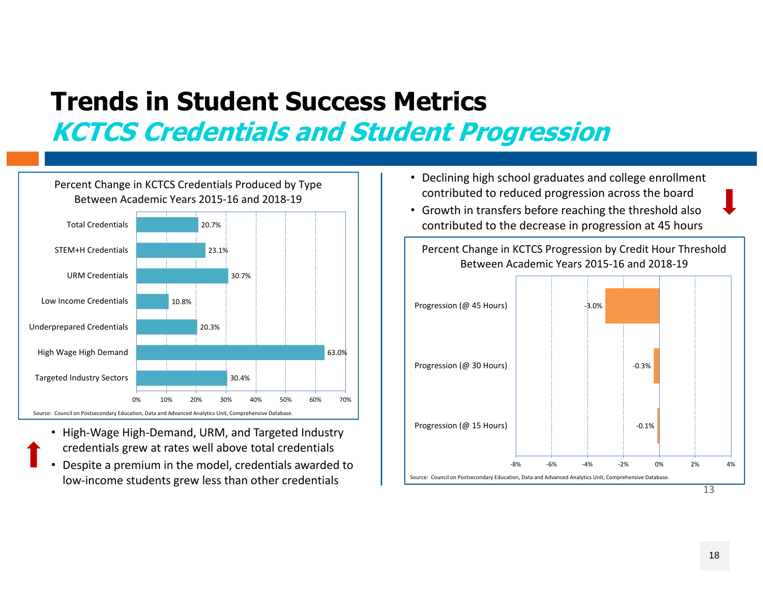## **Trends in Student Success MetricsKCTCS Credentials and Student Progression**



- High‐Wage High‐Demand, URM, and Targeted Industry credentials grew at rates well above total credentials
- • Despite a premium in the model, credentials awarded to low‐income students grew less than other credentials
- Declining high school graduates and college enrollment contributed to reduced progression across the board
- Growth in transfers before reaching the threshold also contributed to the decrease in progression at 45 hours

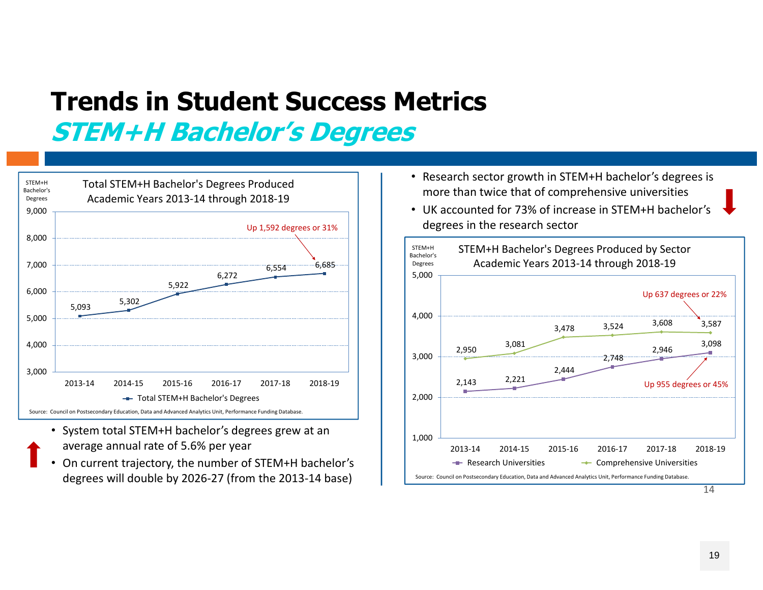## **Trends in Student Success MetricsSTEM+H Bachelor's Degrees**



- System total STEM+H bachelor's degrees grew at an average annual rate of 5.6% per year
- • On current trajectory, the number of STEM+H bachelor's degrees will double by 2026‐27 (from the 2013‐14 base)
- Research sector growth in STEM+H bachelor's degrees is more than twice that of comprehensive universities
- UK accounted for 73% of increase in STEM+H bachelor's degrees in the research sector

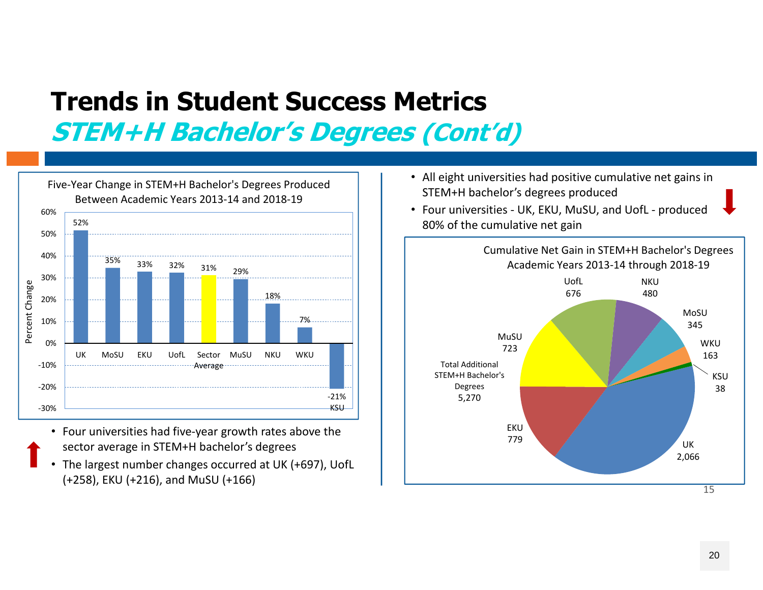### **Trends in Student Success MetricsSTEM+H Bachelor's Degrees (Cont'd)**



- Four universities had five‐year growth rates above the sector average in STEM+H bachelor's degrees
- The largest number changes occurred at UK (+697), UofL (+258), EKU (+216), and MuSU (+166)
- All eight universities had positive cumulative net gains in STEM+H bachelor's degrees produced
- Four universities ‐ UK, EKU, MuSU, and UofL ‐ produced

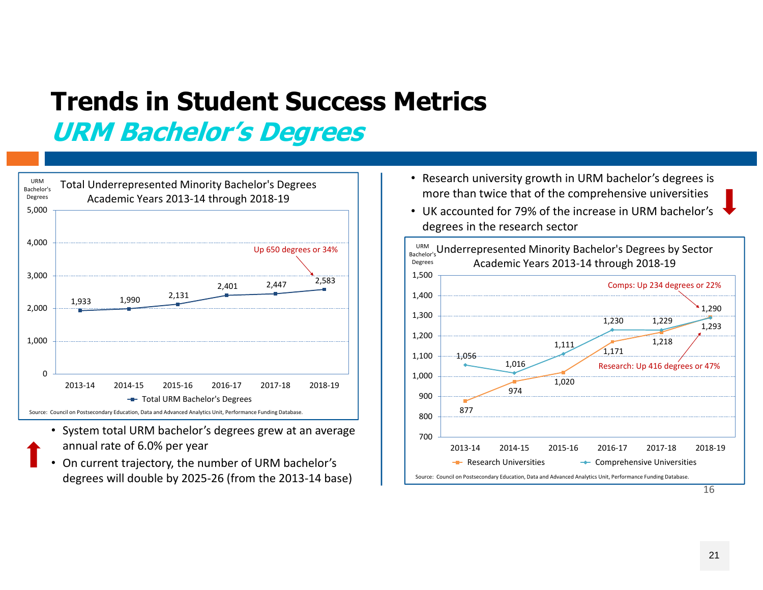### **Trends in Student Success MetricsURM Bachelor's Degrees**



- System total URM bachelor's degrees grew at an average annual rate of 6.0% per year
- • On current trajectory, the number of URM bachelor's degrees will double by 2025‐26 (from the 2013‐14 base)
- Research university growth in URM bachelor's degrees is more than twice that of the comprehensive universities
- UK accounted for 79% of the increase in URM bachelor's degrees in the research sector

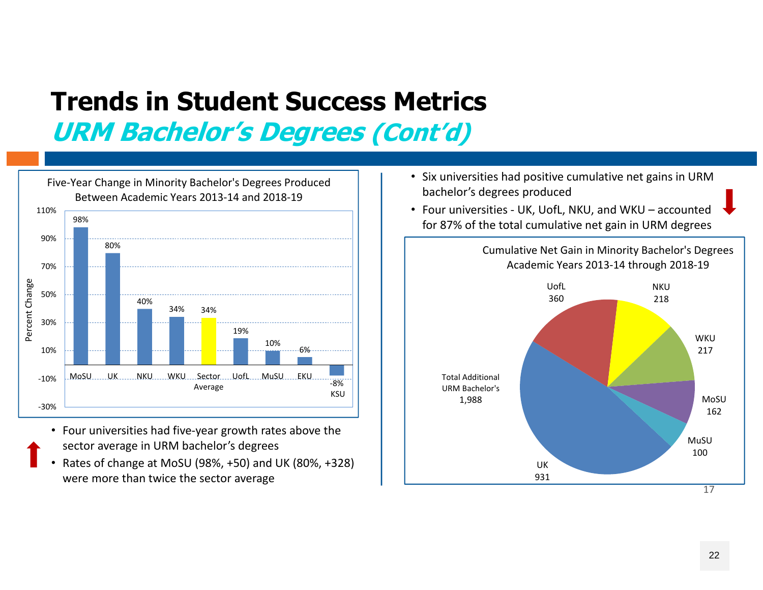### **Trends in Student Success MetricsURM Bachelor's Degrees (Cont'd)**



- Four universities had five‐year growth rates above the sector average in URM bachelor's degrees
- • Rates of change at MoSU (98%, +50) and UK (80%, +328) were more than twice the sector average
- Six universities had positive cumulative net gains in URM bachelor's degrees produced
- Four universities ‐ UK, UofL, NKU, and WKU accounted for 87% of the total cumulative net gain in URM degrees 98%

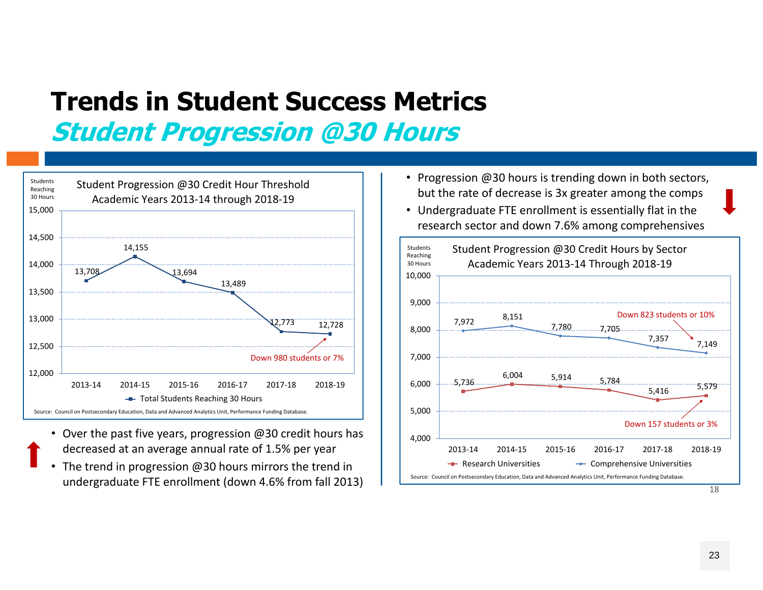### **Trends in Student Success MetricsStudent Progression @30 Hours**



- Over the past five years, progression @30 credit hours has decreased at an average annual rate of 1.5% per year
- The trend in progression @30 hours mirrors the trend in undergraduate FTE enrollment (down 4.6% from fall 2013)
- Progression @30 hours is trending down in both sectors, but the rate of decrease is 3x greater among the comps
- Undergraduate FTE enrollment is essentially flat in the research sector and down 7.6% among comprehensives

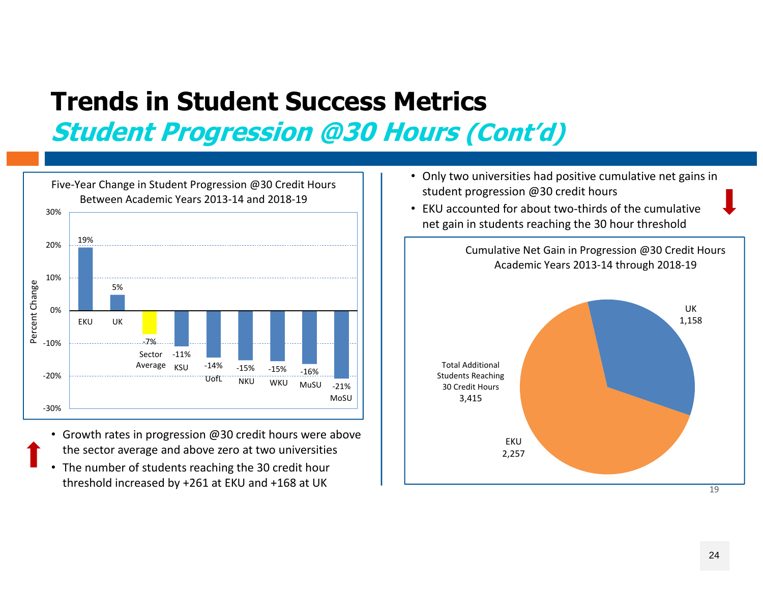# **Trends in Student Success Metrics**

**Student Progression @30 Hours (Cont'd)**



- Growth rates in progression @30 credit hours were above the sector average and above zero at two universities
- The number of students reaching the 30 credit hour threshold increased by +261 at EKU and +168 at UK
- Only two universities had positive cumulative net gains in student progression @30 credit hours
- EKU accounted for about two-thirds of the cumulative net gain in students reaching the 30 hour threshold

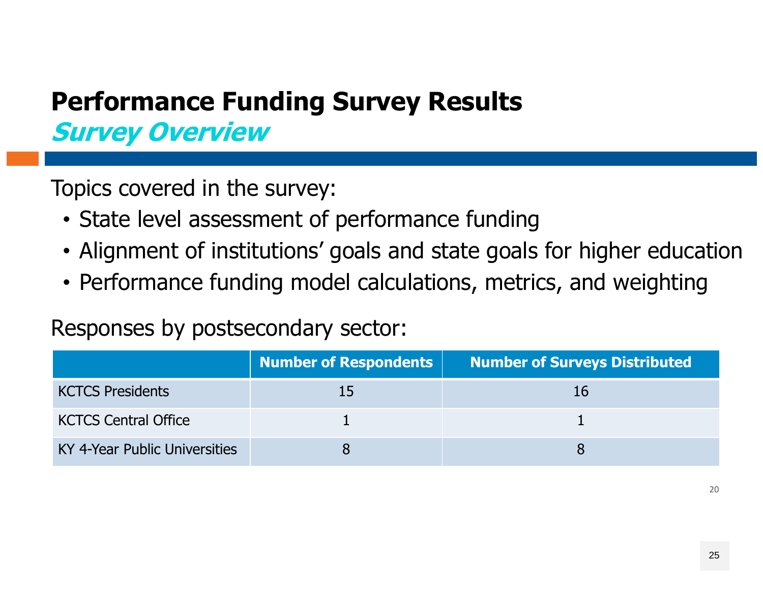### **Performance Funding Survey Results Survey Overview**

Topics covered in the survey:

- State level assessment of performance funding
- Alignment of institutions' goals and state goals for higher education
- Performance funding model calculations, metrics, and weighting

Responses by postsecondary sector:

|                               | Number of Respondents | <b>Number of Surveys Distributed</b> |
|-------------------------------|-----------------------|--------------------------------------|
| <b>KCTCS Presidents</b>       | 15                    |                                      |
| <b>KCTCS Central Office</b>   |                       |                                      |
| KY 4-Year Public Universities |                       |                                      |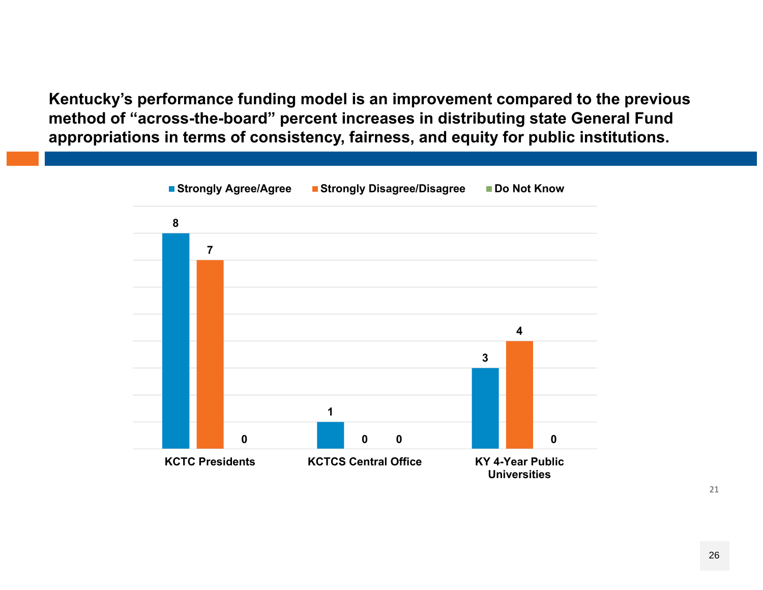**Kentucky's performance funding model is an improvement compared to the previous method of "across-the-board" percent increases in distributing state General Fund appropriations in terms of consistency, fairness, and equity for public institutions.**

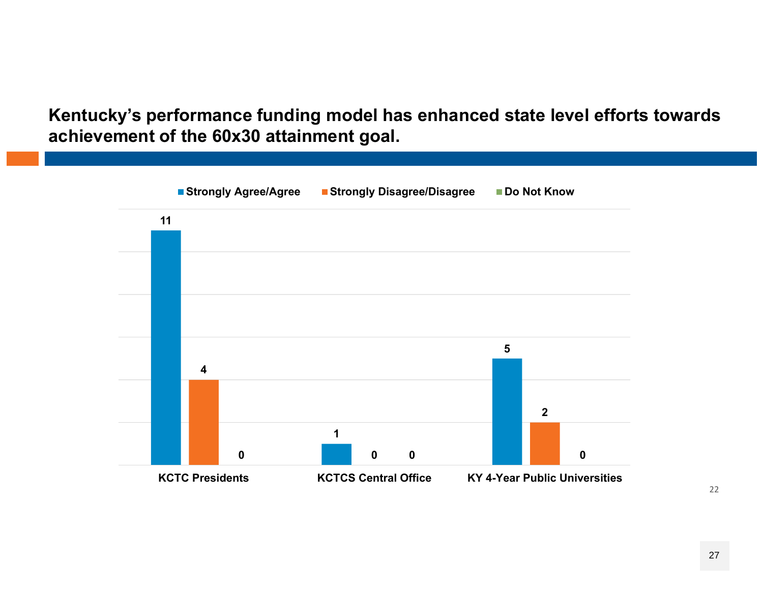**Kentucky's performance funding model has enhanced state level efforts towards achievement of the 60x30 attainment goal.**

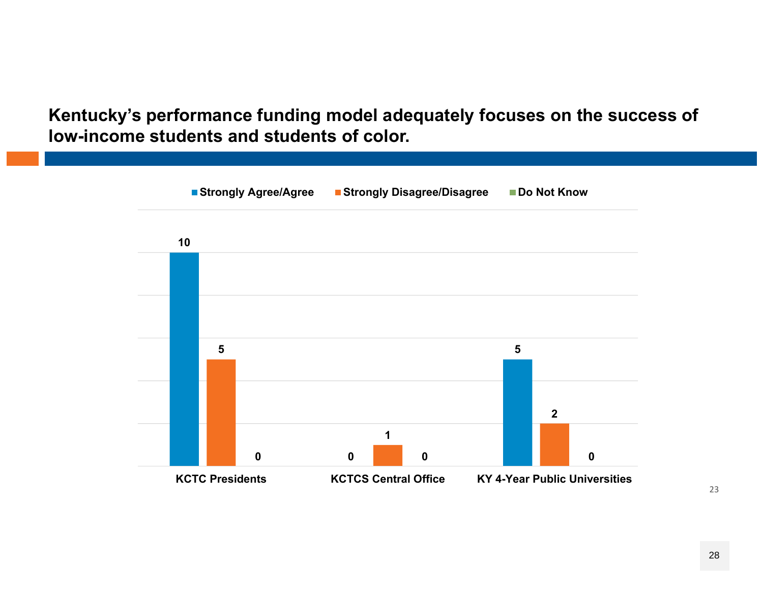**Kentucky's performance funding model adequately focuses on the success of low-income students and students of color.** 

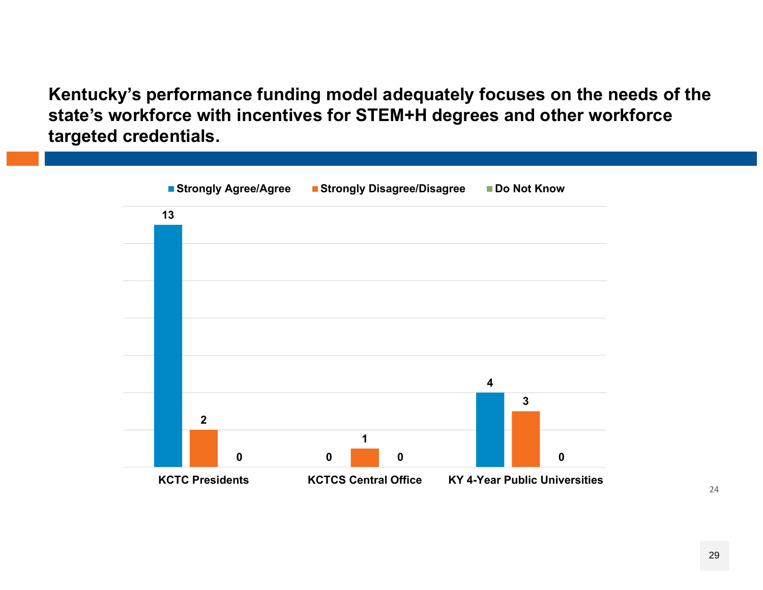**Kentucky's performance funding model adequately focuses on the needs of the state's workforce with incentives for STEM+H degrees and other workforce targeted credentials.** 

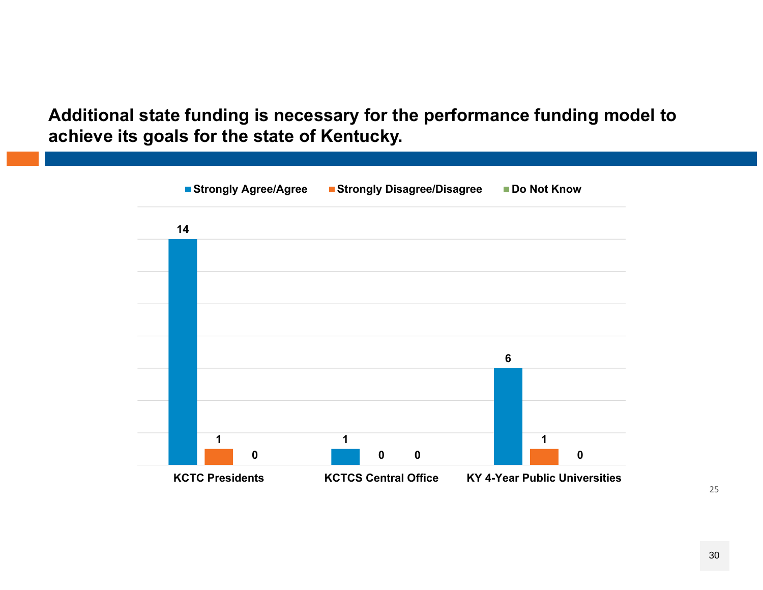**Additional state funding is necessary for the performance funding model to achieve its goals for the state of Kentucky.**

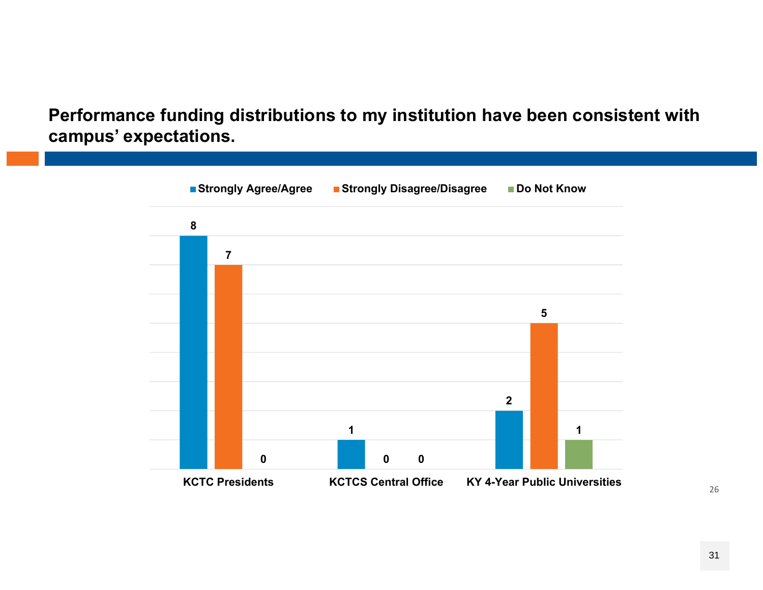**Performance funding distributions to my institution have been consistent with campus' expectations.**

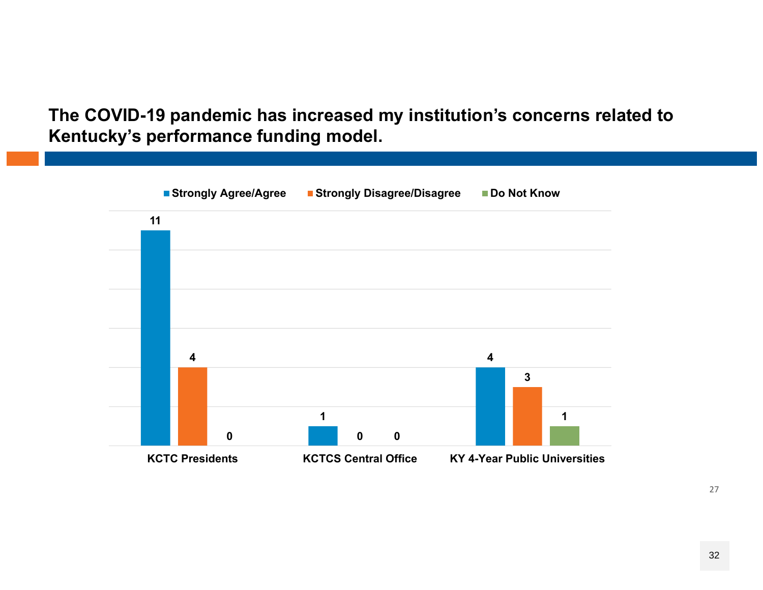#### **The COVID-19 pandemic has increased my institution's concerns related to Kentucky's performance funding model.**

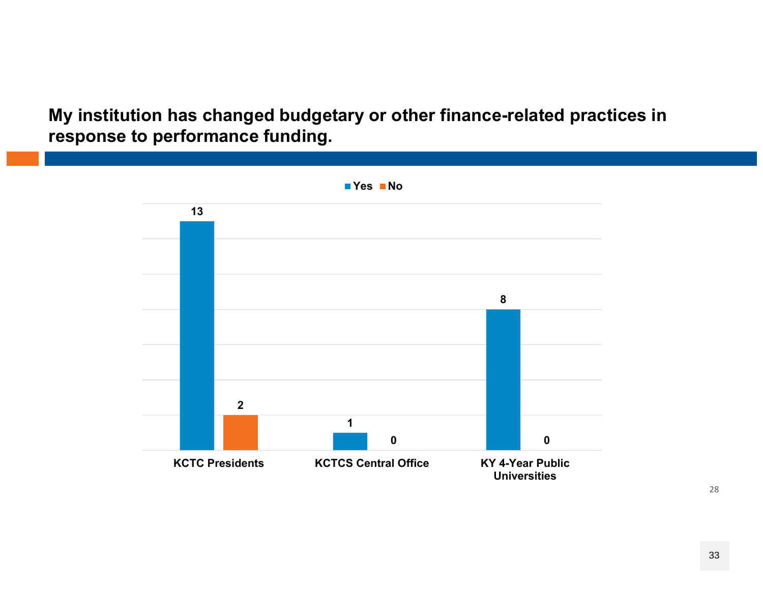**My institution has changed budgetary or other finance-related practices in response to performance funding.**

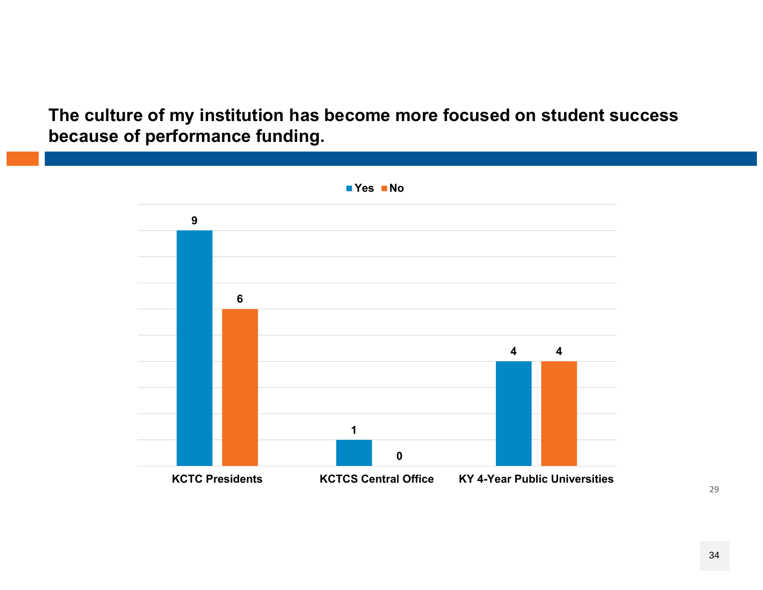**The culture of my institution has become more focused on student success because of performance funding.** 

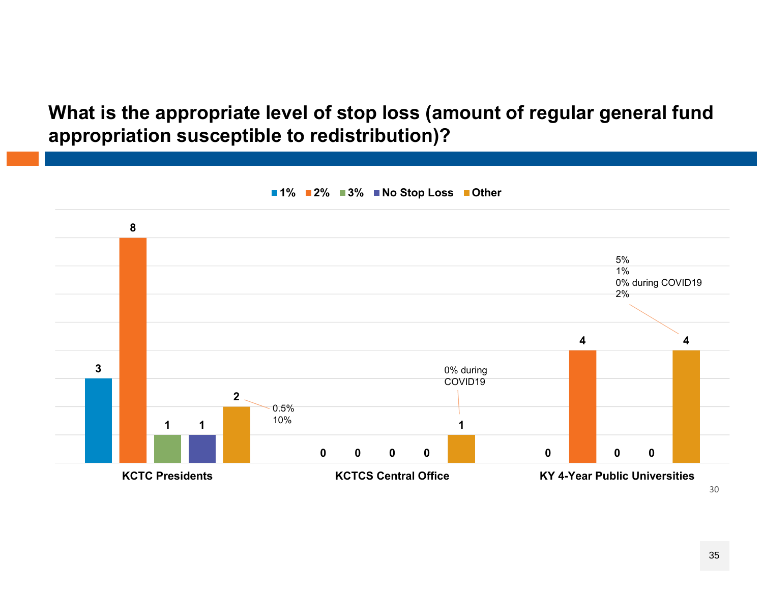**What is the appropriate level of stop loss (amount of regular general fund appropriation susceptible to redistribution)?**

![](_page_34_Figure_1.jpeg)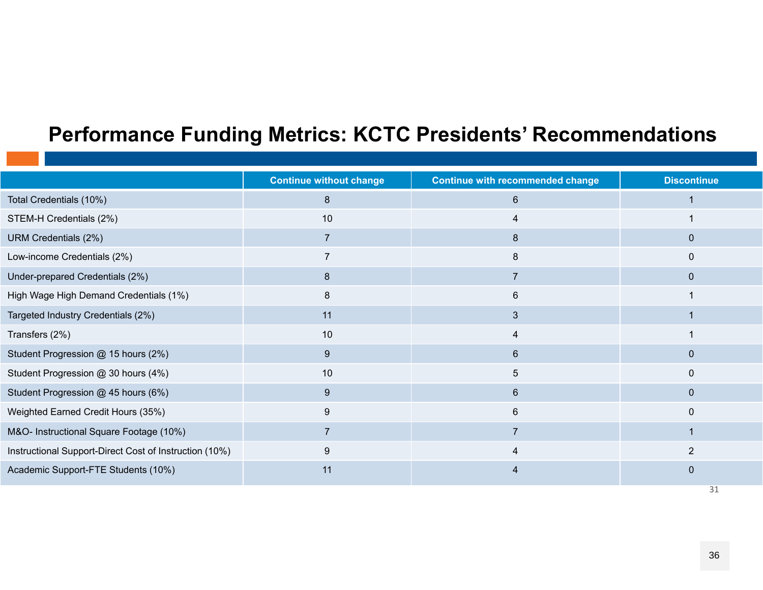#### **Performance Funding Metrics: KCTC Presidents' Recommendations**

|                                                        | <b>Continue without change</b> | <b>Continue with recommended change</b> | <b>Discontinue</b> |
|--------------------------------------------------------|--------------------------------|-----------------------------------------|--------------------|
| Total Credentials (10%)                                | 8                              | 6                                       |                    |
| STEM-H Credentials (2%)                                | 10                             | 4                                       |                    |
| URM Credentials (2%)                                   |                                | 8                                       | $\mathbf{0}$       |
| Low-income Credentials (2%)                            |                                | 8                                       | $\Omega$           |
| Under-prepared Credentials (2%)                        | 8                              | $\overline{7}$                          | $\mathbf 0$        |
| High Wage High Demand Credentials (1%)                 | 8                              | 6                                       |                    |
| Targeted Industry Credentials (2%)                     | 11                             | 3                                       |                    |
| Transfers (2%)                                         | 10                             | 4                                       |                    |
| Student Progression @ 15 hours (2%)                    | 9                              | 6                                       | $\mathbf 0$        |
| Student Progression @ 30 hours (4%)                    | 10                             | 5                                       | $\mathbf{0}$       |
| Student Progression @ 45 hours (6%)                    | 9                              | 6                                       | $\mathbf{0}$       |
| Weighted Earned Credit Hours (35%)                     | 9                              | 6                                       | $\mathbf 0$        |
| M&O- Instructional Square Footage (10%)                | $\overline{7}$                 | $\overline{7}$                          |                    |
| Instructional Support-Direct Cost of Instruction (10%) | 9                              | $\overline{4}$                          | $\overline{2}$     |
| Academic Support-FTE Students (10%)                    | 11                             |                                         | $\Omega$           |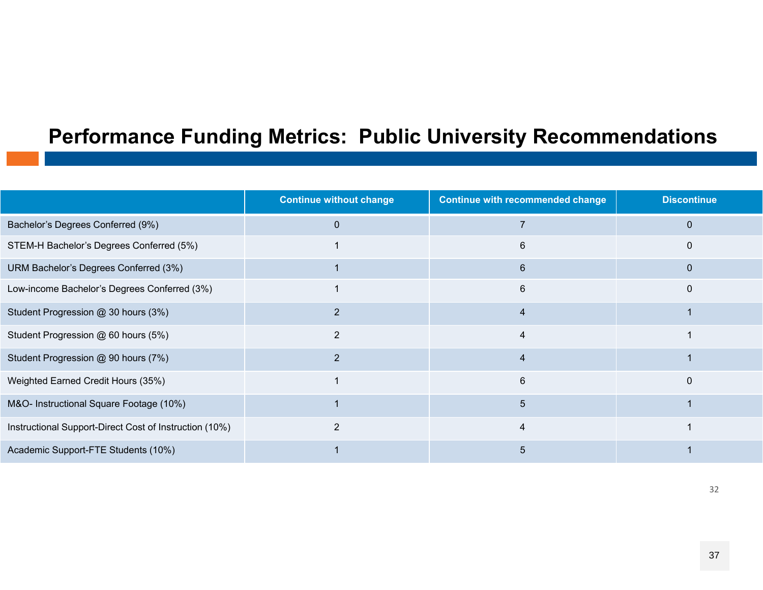#### **Performance Funding Metrics: Public University Recommendations**

|                                                        | <b>Continue without change</b> | <b>Continue with recommended change</b> | <b>Discontinue</b> |
|--------------------------------------------------------|--------------------------------|-----------------------------------------|--------------------|
| Bachelor's Degrees Conferred (9%)                      | $\Omega$                       |                                         |                    |
| STEM-H Bachelor's Degrees Conferred (5%)               |                                | 6                                       |                    |
| URM Bachelor's Degrees Conferred (3%)                  |                                | 6                                       |                    |
| Low-income Bachelor's Degrees Conferred (3%)           |                                | 6                                       |                    |
| Student Progression @ 30 hours (3%)                    |                                | 4                                       |                    |
| Student Progression @ 60 hours (5%)                    | 2                              | 4                                       |                    |
| Student Progression @ 90 hours (7%)                    | $\overline{2}$                 | 4                                       |                    |
| Weighted Earned Credit Hours (35%)                     |                                | 6                                       | $\Omega$           |
| M&O- Instructional Square Footage (10%)                |                                | 5                                       |                    |
| Instructional Support-Direct Cost of Instruction (10%) | 2                              | 4                                       |                    |
| Academic Support-FTE Students (10%)                    |                                | 5                                       |                    |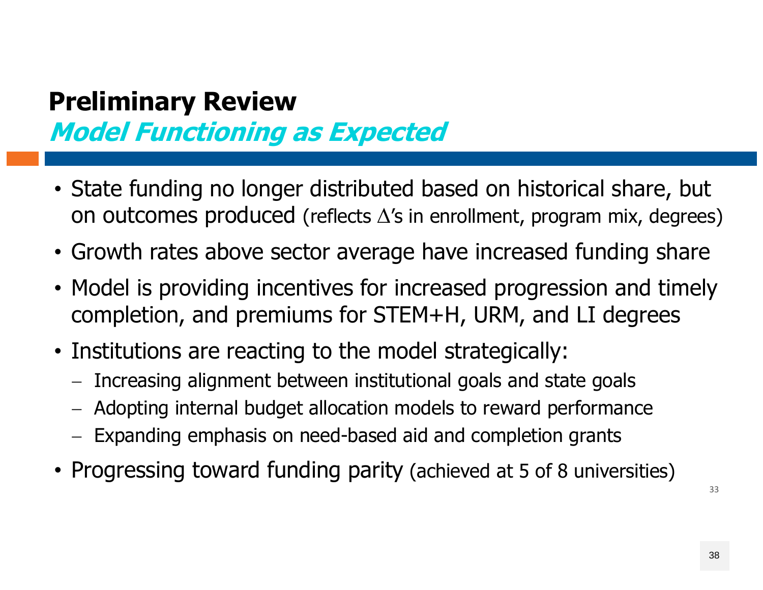## **Preliminary Review Model Functioning as Expected**

- State funding no longer distributed based on historical share, but on outcomes produced (reflects  $\Delta'$ s in enrollment, program mix, degrees)
- Growth rates above sector average have increased funding share
- Model is providing incentives for increased progression and timely completion, and premiums for STEM+H, URM, and LI degrees
- Institutions are reacting to the model strategically:
	- Increasing alignment between institutional goals and state goals
	- Adopting internal budget allocation models to reward performance
	- Expanding emphasis on need-based aid and completion grants
- Progressing toward funding parity (achieved at 5 of 8 universities)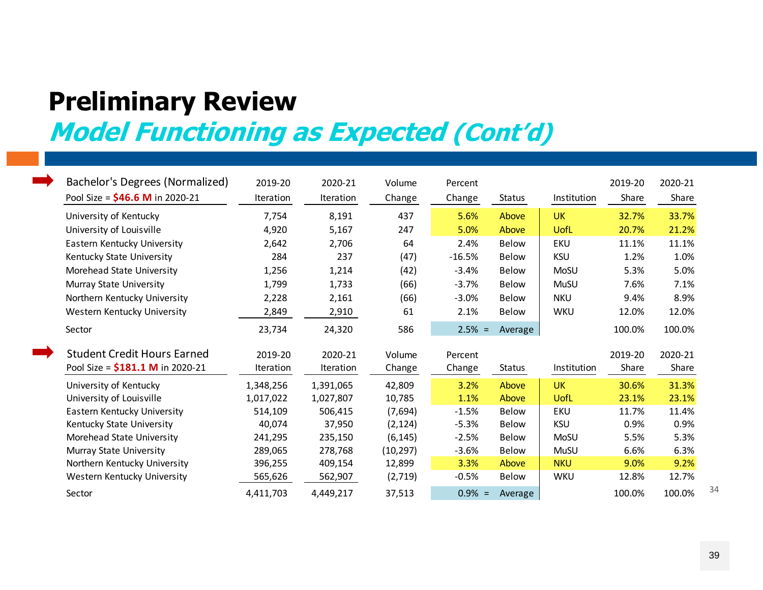## **Preliminary Review**

## **Model Functioning as Expected (Cont'd)**

| Bachelor's Degrees (Normalized)<br>Pool Size = $$46.6$ M in 2020-21 | 2019-20<br>Iteration | 2020-21<br>Iteration | Volume<br>Change | Percent<br>Change | Status        | Institution | 2019-20<br>Share | 2020-21<br>Share |
|---------------------------------------------------------------------|----------------------|----------------------|------------------|-------------------|---------------|-------------|------------------|------------------|
| University of Kentucky                                              | 7,754                | 8,191                | 437              | 5.6%              | Above         | <b>UK</b>   | 32.7%            | 33.7%            |
| University of Louisville                                            | 4,920                | 5,167                | 247              | 5.0%              | Above         | UofL        | 20.7%            | 21.2%            |
| Eastern Kentucky University                                         | 2,642                | 2,706                | 64               | 2.4%              | <b>Below</b>  | <b>EKU</b>  | 11.1%            | 11.1%            |
| Kentucky State University                                           | 284                  | 237                  | (47)             | $-16.5%$          | <b>Below</b>  | <b>KSU</b>  | 1.2%             | 1.0%             |
| Morehead State University                                           | 1,256                | 1,214                | (42)             | $-3.4%$           | <b>Below</b>  | MoSU        | 5.3%             | 5.0%             |
| Murray State University                                             | 1,799                | 1,733                | (66)             | $-3.7%$           | <b>Below</b>  | <b>MuSU</b> | 7.6%             | 7.1%             |
| Northern Kentucky University                                        | 2,228                | 2,161                | (66)             | $-3.0%$           | <b>Below</b>  | <b>NKU</b>  | 9.4%             | 8.9%             |
| Western Kentucky University                                         | 2,849                | 2,910                | 61               | 2.1%              | <b>Below</b>  | <b>WKU</b>  | 12.0%            | 12.0%            |
| Sector                                                              | 23,734               | 24,320               | 586              | $2.5% =$          | Average       |             | 100.0%           | 100.0%           |
| <b>Student Credit Hours Earned</b>                                  | 2019-20              | 2020-21              | Volume           | Percent           |               |             | 2019-20          | 2020-21          |
| Pool Size = \$181.1 M in 2020-21                                    | Iteration            | Iteration            | Change           | Change            | <b>Status</b> | Institution | Share            | Share            |
| University of Kentucky                                              | 1,348,256            | 1,391,065            | 42,809           | 3.2%              | Above         | <b>UK</b>   | 30.6%            | 31.3%            |
| University of Louisville                                            | 1,017,022            | 1,027,807            | 10,785           | 1.1%              | Above         | UofL        | 23.1%            | 23.1%            |
| Eastern Kentucky University                                         | 514,109              | 506,415              | (7,694)          | $-1.5%$           | <b>Below</b>  | EKU         | 11.7%            | 11.4%            |
| Kentucky State University                                           | 40,074               | 37,950               | (2, 124)         | $-5.3%$           | <b>Below</b>  | <b>KSU</b>  | 0.9%             | 0.9%             |
| Morehead State University                                           | 241,295              | 235,150              | (6, 145)         | $-2.5%$           | <b>Below</b>  | MoSU        | 5.5%             | 5.3%             |
| Murray State University                                             | 289,065              | 278,768              | (10, 297)        | $-3.6%$           | <b>Below</b>  | MuSU        | 6.6%             | 6.3%             |
| Northern Kentucky University                                        | 396,255              | 409,154              | 12,899           | 3.3%              | Above         | <b>NKU</b>  | 9.0%             | 9.2%             |
| Western Kentucky University                                         | 565,626              | 562,907              | (2,719)          | $-0.5%$           | <b>Below</b>  | <b>WKU</b>  | 12.8%            | 12.7%            |
| Sector                                                              | 4,411,703            | 4,449,217            | 37,513           | $0.9\% =$         | Average       |             | 100.0%           | 100.0%           |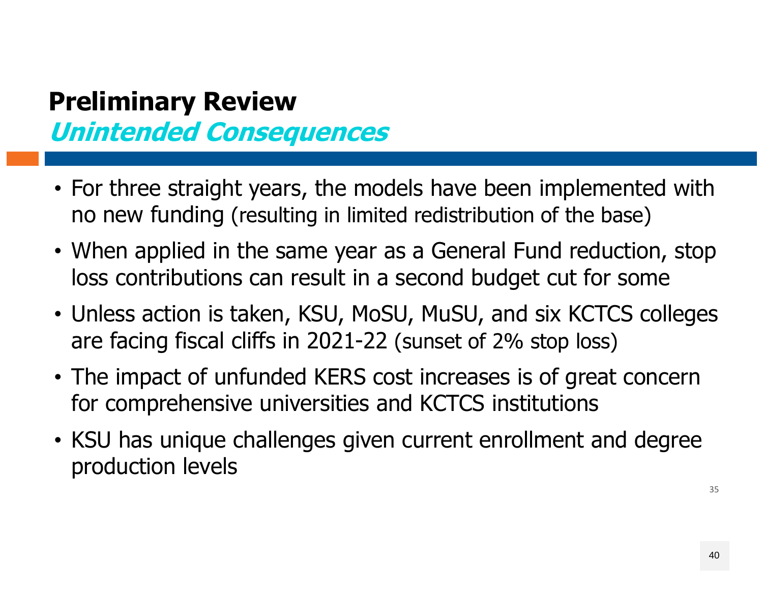## **Preliminary Review Unintended Consequences**

- For three straight years, the models have been implemented with no new funding (resulting in limited redistribution of the base)
- When applied in the same year as a General Fund reduction, stop loss contributions can result in a second budget cut for some
- Unless action is taken, KSU, MoSU, MuSU, and six KCTCS colleges are facing fiscal cliffs in 2021-22 (sunset of 2% stop loss)
- The impact of unfunded KERS cost increases is of great concern for comprehensive universities and KCTCS institutions
- KSU has unique challenges given current enrollment and degree production levels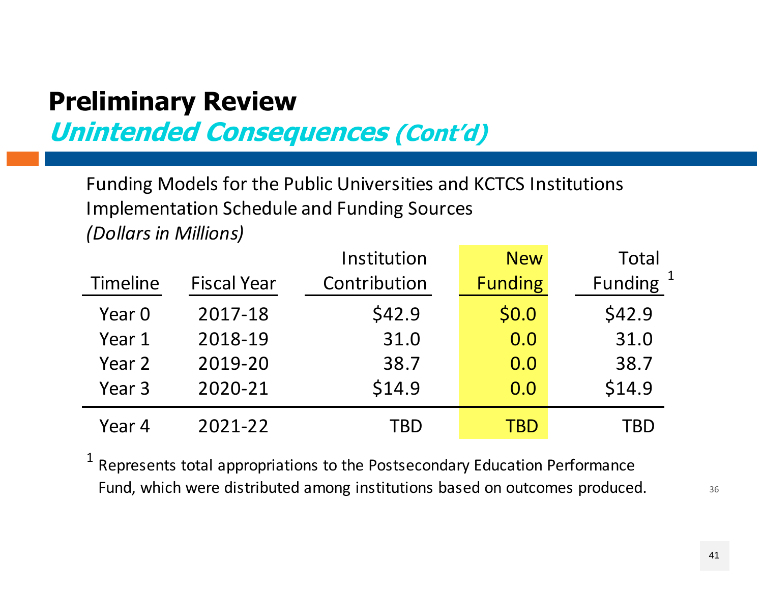## **Preliminary Review**

**Unintended Consequences (Cont'd)**

Funding Models for the Public Universities and KCTCS Institutions Implementation Schedule and Funding Sources *(Dollars in Millions)*

|          |                    | Institution  | <b>New</b>     | Total                |
|----------|--------------------|--------------|----------------|----------------------|
| Timeline | <b>Fiscal Year</b> | Contribution | <b>Funding</b> | Funding <sup>1</sup> |
| Year 0   | 2017-18            | \$42.9       | \$0.0          | \$42.9               |
| Year 1   | 2018-19            | 31.0         | 0.0            | 31.0                 |
| Year 2   | 2019-20            | 38.7         | 0.0            | 38.7                 |
| Year 3   | 2020-21            | \$14.9       | 0.0            | \$14.9               |
| Year 4   | 2021-22            | TBD          | TBD            | TBD                  |

 $1$  Represents total appropriations to the Postsecondary Education Performance Fund, which were distributed among institutions based on outcomes produced.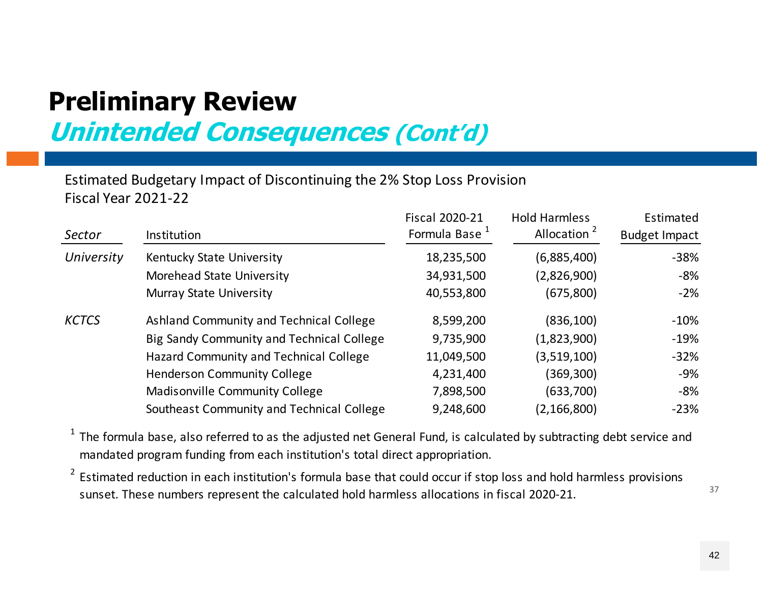### **Preliminary Review Unintended Consequences (Cont'd)**

Estimated Budgetary Impact of Discontinuing the 2% Stop Loss Provision Fiscal Year 2021‐22

| Sector       | Institution                               | <b>Fiscal 2020-21</b><br>Formula Base <sup>1</sup> | <b>Hold Harmless</b><br>Allocation <sup>2</sup> | Estimated<br><b>Budget Impact</b> |
|--------------|-------------------------------------------|----------------------------------------------------|-------------------------------------------------|-----------------------------------|
| University   | Kentucky State University                 | 18,235,500                                         | (6,885,400)                                     | $-38%$                            |
|              | Morehead State University                 | 34,931,500                                         | (2,826,900)                                     | -8%                               |
|              | Murray State University                   | 40,553,800                                         | (675, 800)                                      | $-2\%$                            |
| <b>KCTCS</b> | Ashland Community and Technical College   | 8,599,200                                          | (836, 100)                                      | $-10%$                            |
|              | Big Sandy Community and Technical College | 9,735,900                                          | (1,823,900)                                     | $-19%$                            |
|              | Hazard Community and Technical College    | 11,049,500                                         | (3,519,100)                                     | $-32%$                            |
|              | <b>Henderson Community College</b>        | 4,231,400                                          | (369,300)                                       | -9%                               |
|              | <b>Madisonville Community College</b>     | 7,898,500                                          | (633,700)                                       | -8%                               |
|              | Southeast Community and Technical College | 9,248,600                                          | (2, 166, 800)                                   | $-23%$                            |

 $1$  The formula base, also referred to as the adjusted net General Fund, is calculated by subtracting debt service and mandated program funding from each institution's total direct appropriation.

2 Estimated reduction in each institution's formula base that could occur if stop loss and hold harmless provisions sunset. These numbers represent the calculated hold harmless allocations in fiscal 2020‐21.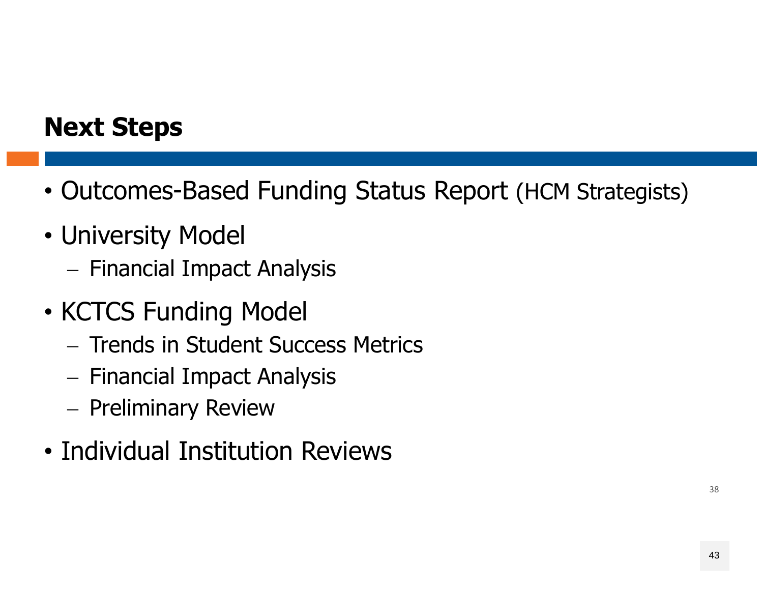### **Next Steps**

- Outcomes-Based Funding Status Report (HCM Strategists)
- University Model
	- Financial Impact Analysis
- KCTCS Funding Model
	- $-$  Trends in Student Success Metrics
	- Financial Impact Analysis
	- Preliminary Review
- Individual Institution Reviews